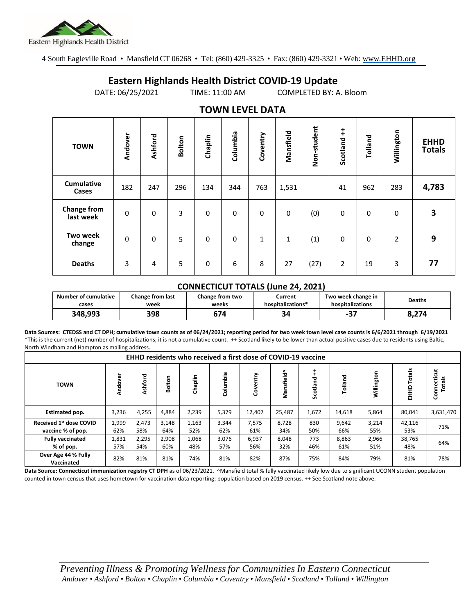

4 South Eagleville Road • Mansfield CT 06268 • Tel: (860) 429-3325 • Fax: (860) 429-3321 • Web: www.EHHD.org

## **Eastern Highlands Health District COVID-19 Update**

DATE: 06/25/2021 TIME: 11:00 AM COMPLETED BY: A. Bloom

|                                 |         |         |               |         | . <del>.</del> |          |           |             |                        |             |            |                              |
|---------------------------------|---------|---------|---------------|---------|----------------|----------|-----------|-------------|------------------------|-------------|------------|------------------------------|
| <b>TOWN</b>                     | Andover | Ashford | <b>Bolton</b> | Chaplin | Columbia       | Coventry | Mansfield | Non-student | $\ddagger$<br>Scotland | Tolland     | Willington | <b>EHHD</b><br><b>Totals</b> |
| <b>Cumulative</b><br>Cases      | 182     | 247     | 296           | 134     | 344            | 763      | 1,531     |             | 41                     | 962         | 283        | 4,783                        |
| <b>Change from</b><br>last week | 0       | 0       | 3             | 0       | 0              | $\Omega$ | 0         | (0)         | 0                      | $\mathbf 0$ | 0          | 3                            |
| <b>Two week</b><br>change       | 0       | 0       | 5             | 0       | 0              | 1        | 1         | (1)         | $\mathbf 0$            | $\mathbf 0$ | 2          | 9                            |
| <b>Deaths</b>                   | 3       | 4       | 5             | 0       | 6              | 8        | 27        | (27)        | 2                      | 19          | 3          | 77                           |

## **TOWN LEVEL DATA**

## **CONNECTICUT TOTALS (June 24, 2021)**

| <b>Number of cumulative</b> | <b>Change from last</b> | Change from two | Current           | Two week change in | <b>Deaths</b> |
|-----------------------------|-------------------------|-----------------|-------------------|--------------------|---------------|
| cases                       | week                    | weeks           | hospitalizations* | hospitalizations   |               |
| 348,993                     | 398                     | 674             | 34                | דר<br>-ט           | 8.274         |

**Data Sources: CTEDSS and CT DPH; cumulative town counts as of 06/24/2021; reporting period for two week town level case counts is 6/6/2021 through 6/19/2021** \*This is the current (net) number of hospitalizations; it is not a cumulative count. ++ Scotland likely to be lower than actual positive cases due to residents using Baltic, North Windham and Hampton as mailing address.

| EHHD residents who received a first dose of COVID-19 vaccine |                  |              |              |              |              |              |              |            |              |              |                  |                       |
|--------------------------------------------------------------|------------------|--------------|--------------|--------------|--------------|--------------|--------------|------------|--------------|--------------|------------------|-----------------------|
| <b>TOWN</b>                                                  | ৯<br>õ<br>ह<br>द | Ashford      | Bolton       | Chaplin      | Columbia     | Coventry     | Mansfield^   | Scotland   | Tolland      | Willington   | Totals<br>요<br>표 | Connecticut<br>⋍<br>ē |
| <b>Estimated pop.</b>                                        | 3,236            | 4,255        | 4,884        | 2,239        | 5,379        | 12,407       | 25,487       | 1,672      | 14,618       | 5,864        | 80,041           | 3,631,470             |
| Received 1st dose COVID<br>vaccine % of pop.                 | 1,999<br>62%     | 2,473<br>58% | 3,148<br>64% | 1,163<br>52% | 3,344<br>62% | 7,575<br>61% | 8,728<br>34% | 830<br>50% | 9,642<br>66% | 3,214<br>55% | 42,116<br>53%    | 71%                   |
| <b>Fully vaccinated</b><br>% of pop.                         | 1,831<br>57%     | 2,295<br>54% | 2,908<br>60% | 1,068<br>48% | 3,076<br>57% | 6,937<br>56% | 8,048<br>32% | 773<br>46% | 8,863<br>61% | 2,966<br>51% | 38,765<br>48%    | 64%                   |
| Over Age 44 % Fully<br>Vaccinated                            | 82%              | 81%          | 81%          | 74%          | 81%          | 82%          | 87%          | 75%        | 84%          | 79%          | 81%              | 78%                   |

**Data Source: Connecticut immunization registry CT DPH** as of 06/23/2021. AMansfield total % fully vaccinated likely low due to significant UCONN student population counted in town census that uses hometown for vaccination data reporting; population based on 2019 census. ++ See Scotland note above.